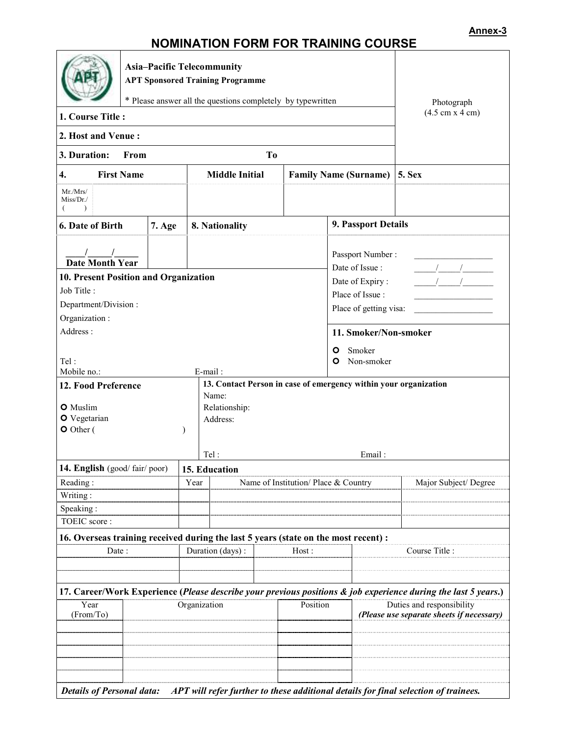## **NOMINATION FORM FOR TRAINING COURSE**

|                                                             |                                                                              |        |                                                                                     | <u> Jinin Andon i Ormandon a Danishi</u>                         |  |                              |                                    |                                                                                                                |  |
|-------------------------------------------------------------|------------------------------------------------------------------------------|--------|-------------------------------------------------------------------------------------|------------------------------------------------------------------|--|------------------------------|------------------------------------|----------------------------------------------------------------------------------------------------------------|--|
|                                                             | <b>Asia-Pacific Telecommunity</b><br><b>APT Sponsored Training Programme</b> |        |                                                                                     |                                                                  |  |                              |                                    |                                                                                                                |  |
| * Please answer all the questions completely by typewritten |                                                                              |        |                                                                                     |                                                                  |  |                              |                                    | Photograph                                                                                                     |  |
| 1. Course Title:                                            |                                                                              |        |                                                                                     |                                                                  |  |                              |                                    | $(4.5 \text{ cm} \times 4 \text{ cm})$                                                                         |  |
| 2. Host and Venue:                                          |                                                                              |        |                                                                                     |                                                                  |  |                              |                                    |                                                                                                                |  |
| 3. Duration:<br>T <sub>0</sub><br>From                      |                                                                              |        |                                                                                     |                                                                  |  |                              |                                    |                                                                                                                |  |
| <b>First Name</b><br>4.                                     |                                                                              |        | <b>Middle Initial</b>                                                               |                                                                  |  | <b>Family Name (Surname)</b> | <b>5. Sex</b>                      |                                                                                                                |  |
| Mr.Mrs/<br>Miss/Dr.<br>$\lambda$                            |                                                                              |        |                                                                                     |                                                                  |  |                              |                                    |                                                                                                                |  |
| 6. Date of Birth                                            |                                                                              | 7. Age |                                                                                     | 8. Nationality                                                   |  |                              | 9. Passport Details                |                                                                                                                |  |
| <b>Date Month Year</b>                                      |                                                                              |        |                                                                                     |                                                                  |  |                              | Passport Number:<br>Date of Issue: |                                                                                                                |  |
| 10. Present Position and Organization                       |                                                                              |        |                                                                                     |                                                                  |  |                              | Date of Expiry:                    |                                                                                                                |  |
| Job Title:<br>Department/Division:                          |                                                                              |        |                                                                                     |                                                                  |  |                              | Place of Issue:                    |                                                                                                                |  |
| Place of getting visa:<br>Organization:                     |                                                                              |        |                                                                                     |                                                                  |  |                              |                                    |                                                                                                                |  |
| Address:                                                    |                                                                              |        |                                                                                     |                                                                  |  |                              | 11. Smoker/Non-smoker              |                                                                                                                |  |
| $\circ$                                                     |                                                                              |        |                                                                                     |                                                                  |  |                              | Smoker                             |                                                                                                                |  |
| Tel:<br>O<br>Mobile no.:<br>E-mail:                         |                                                                              |        |                                                                                     |                                                                  |  |                              | Non-smoker                         |                                                                                                                |  |
| 12. Food Preference                                         |                                                                              |        |                                                                                     | 13. Contact Person in case of emergency within your organization |  |                              |                                    |                                                                                                                |  |
| O Muslim                                                    |                                                                              |        |                                                                                     | Name:<br>Relationship:                                           |  |                              |                                    |                                                                                                                |  |
| O Vegetarian                                                |                                                                              |        |                                                                                     | Address:                                                         |  |                              |                                    |                                                                                                                |  |
| $\bullet$ Other (                                           |                                                                              |        | $\lambda$                                                                           |                                                                  |  |                              |                                    |                                                                                                                |  |
|                                                             |                                                                              |        |                                                                                     | Tel:                                                             |  |                              | Email:                             |                                                                                                                |  |
| 14. English (good/fair/poor)                                |                                                                              |        |                                                                                     | 15. Education                                                    |  |                              |                                    |                                                                                                                |  |
| Reading:                                                    |                                                                              |        |                                                                                     | Year<br>Name of Institution/ Place & Country                     |  |                              | Major Subject/Degree               |                                                                                                                |  |
| Writing:                                                    |                                                                              |        |                                                                                     |                                                                  |  |                              |                                    |                                                                                                                |  |
| Speaking:                                                   |                                                                              |        |                                                                                     |                                                                  |  |                              |                                    |                                                                                                                |  |
| TOEIC score:                                                |                                                                              |        |                                                                                     |                                                                  |  |                              |                                    |                                                                                                                |  |
|                                                             |                                                                              |        | 16. Overseas training received during the last 5 years (state on the most recent) : |                                                                  |  | Course Title                 |                                    |                                                                                                                |  |
| Date:                                                       |                                                                              |        |                                                                                     | Duration (days):<br>Host:                                        |  |                              |                                    |                                                                                                                |  |
|                                                             |                                                                              |        |                                                                                     |                                                                  |  |                              |                                    |                                                                                                                |  |
|                                                             |                                                                              |        |                                                                                     |                                                                  |  |                              |                                    | 17. Career/Work Experience (Please describe your previous positions & job experience during the last 5 years.) |  |
| Year<br>(From/To)                                           |                                                                              |        |                                                                                     | Position<br>Organization                                         |  |                              |                                    | Duties and responsibility<br>(Please use separate sheets if necessary)                                         |  |
|                                                             |                                                                              |        |                                                                                     |                                                                  |  |                              |                                    |                                                                                                                |  |
|                                                             |                                                                              |        |                                                                                     |                                                                  |  |                              |                                    |                                                                                                                |  |
|                                                             |                                                                              |        |                                                                                     |                                                                  |  |                              |                                    |                                                                                                                |  |
|                                                             |                                                                              |        |                                                                                     |                                                                  |  |                              |                                    |                                                                                                                |  |
| <b>Details of Personal data:</b>                            |                                                                              |        |                                                                                     |                                                                  |  |                              |                                    | APT will refer further to these additional details for final selection of trainees.                            |  |